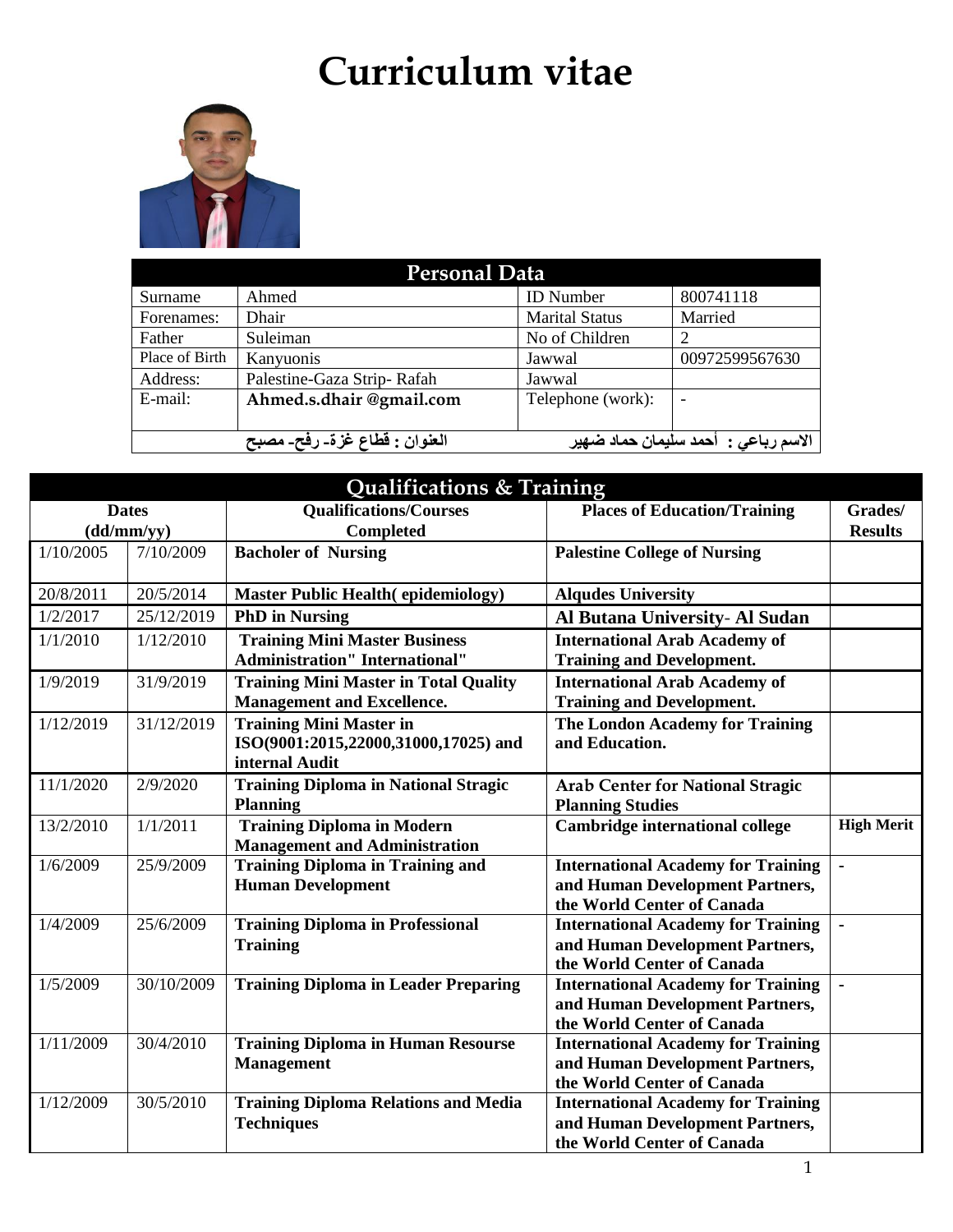# **Curriculum vitae**



| <b>Personal Data</b>                                                  |                            |                       |                |  |
|-----------------------------------------------------------------------|----------------------------|-----------------------|----------------|--|
| Surname                                                               | Ahmed                      | <b>ID</b> Number      | 800741118      |  |
| Forenames:                                                            | Dhair                      | <b>Marital Status</b> | Married        |  |
| Father                                                                | Suleiman                   | No of Children        |                |  |
| Place of Birth                                                        | Kanyuonis                  | Jawwal                | 00972599567630 |  |
| Address:                                                              | Palestine-Gaza Strip-Rafah | Jawwal                |                |  |
| $E$ -mail:                                                            | Ahmed.s.dhair @gmail.com   | Telephone (work):     |                |  |
|                                                                       |                            |                       |                |  |
| العنوان : قطاع غزةـ رفحـ مصبح<br>الاسم رباعي :  أحمد سليمان حماد ضهير |                            |                       |                |  |

| Qualifications & Training |              |                                                                                          |                                                                                                            |                   |
|---------------------------|--------------|------------------------------------------------------------------------------------------|------------------------------------------------------------------------------------------------------------|-------------------|
|                           | <b>Dates</b> | <b>Qualifications/Courses</b>                                                            | <b>Places of Education/Training</b>                                                                        | Grades/           |
|                           | (dd/mm/yy)   | <b>Completed</b>                                                                         |                                                                                                            | <b>Results</b>    |
| 1/10/2005                 | 7/10/2009    | <b>Bacholer of Nursing</b>                                                               | <b>Palestine College of Nursing</b>                                                                        |                   |
| 20/8/2011                 | 20/5/2014    | <b>Master Public Health (epidemiology)</b>                                               | <b>Alqudes University</b>                                                                                  |                   |
| 1/2/2017                  | 25/12/2019   | <b>PhD</b> in Nursing                                                                    | Al Butana University- Al Sudan                                                                             |                   |
| 1/1/2010                  | 1/12/2010    | <b>Training Mini Master Business</b><br><b>Administration"</b> International"            | <b>International Arab Academy of</b><br><b>Training and Development.</b>                                   |                   |
| 1/9/2019                  | 31/9/2019    | <b>Training Mini Master in Total Quality</b><br><b>Management and Excellence.</b>        | <b>International Arab Academy of</b><br><b>Training and Development.</b>                                   |                   |
| 1/12/2019                 | 31/12/2019   | <b>Training Mini Master in</b><br>ISO(9001:2015,22000,31000,17025) and<br>internal Audit | <b>The London Academy for Training</b><br>and Education.                                                   |                   |
| 11/1/2020                 | 2/9/2020     | <b>Training Diploma in National Stragic</b><br><b>Planning</b>                           | <b>Arab Center for National Stragic</b><br><b>Planning Studies</b>                                         |                   |
| 13/2/2010                 | 1/1/2011     | <b>Training Diploma in Modern</b><br><b>Management and Administration</b>                | <b>Cambridge international college</b>                                                                     | <b>High Merit</b> |
| 1/6/2009                  | 25/9/2009    | <b>Training Diploma in Training and</b><br><b>Human Development</b>                      | <b>International Academy for Training</b><br>and Human Development Partners,<br>the World Center of Canada | $\blacksquare$    |
| 1/4/2009                  | 25/6/2009    | <b>Training Diploma in Professional</b><br><b>Training</b>                               | <b>International Academy for Training</b><br>and Human Development Partners,<br>the World Center of Canada | $\blacksquare$    |
| 1/5/2009                  | 30/10/2009   | <b>Training Diploma in Leader Preparing</b>                                              | <b>International Academy for Training</b><br>and Human Development Partners,<br>the World Center of Canada | $\blacksquare$    |
| 1/11/2009                 | 30/4/2010    | <b>Training Diploma in Human Resourse</b><br><b>Management</b>                           | <b>International Academy for Training</b><br>and Human Development Partners,<br>the World Center of Canada |                   |
| 1/12/2009                 | 30/5/2010    | <b>Training Diploma Relations and Media</b><br><b>Techniques</b>                         | <b>International Academy for Training</b><br>and Human Development Partners,<br>the World Center of Canada |                   |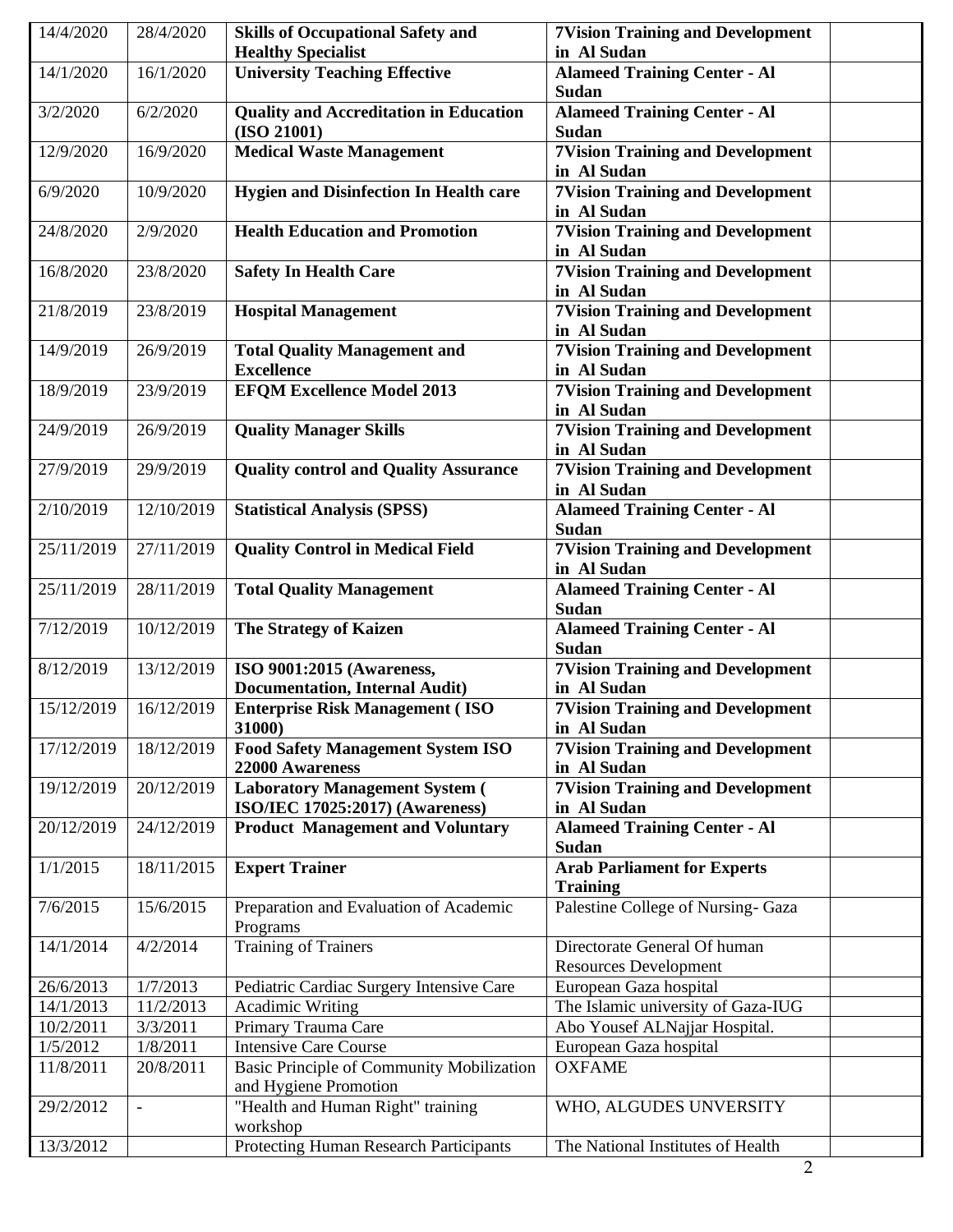| 14/4/2020  | 28/4/2020  | <b>Skills of Occupational Safety and</b>         | <b>7Vision Training and Development</b>      |
|------------|------------|--------------------------------------------------|----------------------------------------------|
|            |            | <b>Healthy Specialist</b>                        | in Al Sudan                                  |
| 14/1/2020  | 16/1/2020  | <b>University Teaching Effective</b>             | <b>Alameed Training Center - Al</b>          |
| 3/2/2020   |            | <b>Quality and Accreditation in Education</b>    | <b>Sudan</b>                                 |
|            | 6/2/2020   | (ISO 21001)                                      | <b>Alameed Training Center - Al</b><br>Sudan |
| 12/9/2020  | 16/9/2020  | <b>Medical Waste Management</b>                  | <b>7Vision Training and Development</b>      |
|            |            |                                                  | in Al Sudan                                  |
| 6/9/2020   | 10/9/2020  | <b>Hygien and Disinfection In Health care</b>    | <b>7Vision Training and Development</b>      |
|            |            |                                                  | in Al Sudan                                  |
| 24/8/2020  | 2/9/2020   | <b>Health Education and Promotion</b>            | <b>7Vision Training and Development</b>      |
|            |            |                                                  | in Al Sudan                                  |
| 16/8/2020  | 23/8/2020  | <b>Safety In Health Care</b>                     | <b>7Vision Training and Development</b>      |
|            |            |                                                  | in Al Sudan                                  |
| 21/8/2019  | 23/8/2019  | <b>Hospital Management</b>                       | <b>7Vision Training and Development</b>      |
|            |            |                                                  | in Al Sudan                                  |
| 14/9/2019  | 26/9/2019  | <b>Total Quality Management and</b>              | <b>7Vision Training and Development</b>      |
|            |            | <b>Excellence</b>                                | in Al Sudan                                  |
| 18/9/2019  | 23/9/2019  | <b>EFOM Excellence Model 2013</b>                | <b>7Vision Training and Development</b>      |
|            |            |                                                  | in Al Sudan                                  |
| 24/9/2019  | 26/9/2019  | <b>Quality Manager Skills</b>                    | <b>7Vision Training and Development</b>      |
|            |            |                                                  | in Al Sudan                                  |
| 27/9/2019  | 29/9/2019  | <b>Quality control and Quality Assurance</b>     | <b>7Vision Training and Development</b>      |
|            |            |                                                  | in Al Sudan                                  |
| 2/10/2019  | 12/10/2019 | <b>Statistical Analysis (SPSS)</b>               | <b>Alameed Training Center - Al</b>          |
|            |            |                                                  | <b>Sudan</b>                                 |
| 25/11/2019 | 27/11/2019 | <b>Quality Control in Medical Field</b>          | <b>7Vision Training and Development</b>      |
|            |            |                                                  | in Al Sudan                                  |
| 25/11/2019 | 28/11/2019 | <b>Total Quality Management</b>                  | <b>Alameed Training Center - Al</b>          |
|            |            |                                                  | <b>Sudan</b>                                 |
| 7/12/2019  | 10/12/2019 | <b>The Strategy of Kaizen</b>                    | <b>Alameed Training Center - Al</b>          |
|            |            |                                                  | <b>Sudan</b>                                 |
| 8/12/2019  | 13/12/2019 | ISO 9001:2015 (Awareness,                        | <b>7Vision Training and Development</b>      |
|            |            | <b>Documentation, Internal Audit)</b>            | in Al Sudan                                  |
| 15/12/2019 | 16/12/2019 | <b>Enterprise Risk Management (ISO</b>           | <b>7Vision Training and Development</b>      |
|            |            | 31000)                                           | in Al Sudan                                  |
| 17/12/2019 | 18/12/2019 | <b>Food Safety Management System ISO</b>         | <b>7Vision Training and Development</b>      |
|            |            | 22000 Awareness                                  | in Al Sudan                                  |
| 19/12/2019 | 20/12/2019 | <b>Laboratory Management System (</b>            | <b>7Vision Training and Development</b>      |
|            |            | ISO/IEC 17025:2017) (Awareness)                  | in Al Sudan                                  |
| 20/12/2019 | 24/12/2019 | <b>Product Management and Voluntary</b>          | <b>Alameed Training Center - Al</b>          |
|            |            |                                                  | Sudan                                        |
| 1/1/2015   | 18/11/2015 | <b>Expert Trainer</b>                            | <b>Arab Parliament for Experts</b>           |
|            |            |                                                  | <b>Training</b>                              |
| 7/6/2015   | 15/6/2015  | Preparation and Evaluation of Academic           | Palestine College of Nursing- Gaza           |
|            |            | Programs                                         |                                              |
| 14/1/2014  | 4/2/2014   | <b>Training of Trainers</b>                      | Directorate General Of human                 |
|            |            |                                                  | <b>Resources Development</b>                 |
| 26/6/2013  | 1/7/2013   | Pediatric Cardiac Surgery Intensive Care         | European Gaza hospital                       |
| 14/1/2013  | 11/2/2013  | <b>Acadimic Writing</b>                          | The Islamic university of Gaza-IUG           |
| 10/2/2011  | 3/3/2011   | Primary Trauma Care                              | Abo Yousef ALNajjar Hospital.                |
| 1/5/2012   | 1/8/2011   | <b>Intensive Care Course</b>                     | European Gaza hospital                       |
| 11/8/2011  | 20/8/2011  | <b>Basic Principle of Community Mobilization</b> | <b>OXFAME</b>                                |
|            |            | and Hygiene Promotion                            |                                              |
| 29/2/2012  |            | "Health and Human Right" training                | WHO, ALGUDES UNVERSITY                       |
|            |            | workshop                                         |                                              |
| 13/3/2012  |            | Protecting Human Research Participants           | The National Institutes of Health            |
|            |            |                                                  | $\overline{2}$                               |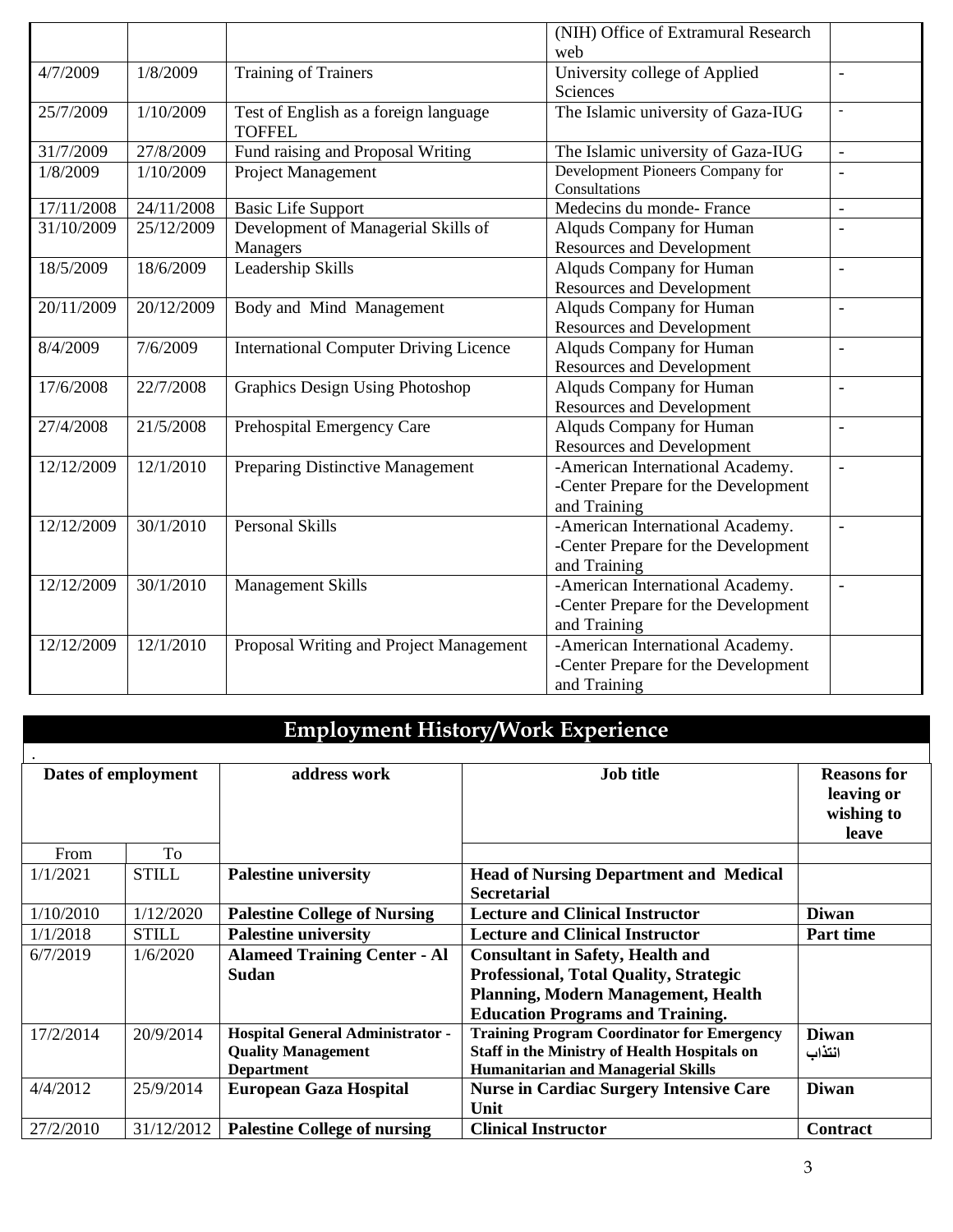|            |            |                                                        | (NIH) Office of Extramural Research<br>web                                              |                          |
|------------|------------|--------------------------------------------------------|-----------------------------------------------------------------------------------------|--------------------------|
| 4/7/2009   | 1/8/2009   | Training of Trainers                                   | University college of Applied<br>Sciences                                               | $\overline{a}$           |
| 25/7/2009  | 1/10/2009  | Test of English as a foreign language<br><b>TOFFEL</b> | The Islamic university of Gaza-IUG                                                      | $\blacksquare$           |
| 31/7/2009  | 27/8/2009  | Fund raising and Proposal Writing                      | The Islamic university of Gaza-IUG                                                      | $\bar{a}$                |
| 1/8/2009   | 1/10/2009  | <b>Project Management</b>                              | Development Pioneers Company for<br>Consultations                                       |                          |
| 17/11/2008 | 24/11/2008 | <b>Basic Life Support</b>                              | Medecins du monde-France                                                                | $\overline{a}$           |
| 31/10/2009 | 25/12/2009 | Development of Managerial Skills of<br>Managers        | Alquds Company for Human<br><b>Resources and Development</b>                            | $\overline{\phantom{a}}$ |
| 18/5/2009  | 18/6/2009  | Leadership Skills                                      | Alquds Company for Human<br><b>Resources and Development</b>                            | $\overline{\phantom{a}}$ |
| 20/11/2009 | 20/12/2009 | Body and Mind Management                               | Alquds Company for Human<br><b>Resources and Development</b>                            | $\overline{a}$           |
| 8/4/2009   | 7/6/2009   | <b>International Computer Driving Licence</b>          | Alquds Company for Human<br><b>Resources and Development</b>                            | $\overline{a}$           |
| 17/6/2008  | 22/7/2008  | <b>Graphics Design Using Photoshop</b>                 | Alquds Company for Human<br><b>Resources and Development</b>                            | $\overline{\phantom{a}}$ |
| 27/4/2008  | 21/5/2008  | Prehospital Emergency Care                             | Alquds Company for Human<br><b>Resources and Development</b>                            | $\overline{a}$           |
| 12/12/2009 | 12/1/2010  | Preparing Distinctive Management                       | -American International Academy.<br>-Center Prepare for the Development<br>and Training | $\sim$                   |
| 12/12/2009 | 30/1/2010  | <b>Personal Skills</b>                                 | -American International Academy.<br>-Center Prepare for the Development<br>and Training | $\bar{\phantom{a}}$      |
| 12/12/2009 | 30/1/2010  | <b>Management Skills</b>                               | -American International Academy.<br>-Center Prepare for the Development<br>and Training | $\equiv$                 |
| 12/12/2009 | 12/1/2010  | Proposal Writing and Project Management                | -American International Academy.<br>-Center Prepare for the Development<br>and Training |                          |

| <b>Employment History/Work Experience</b> |                     |                                                                                           |                                                                                                                                                                            |                                                         |  |
|-------------------------------------------|---------------------|-------------------------------------------------------------------------------------------|----------------------------------------------------------------------------------------------------------------------------------------------------------------------------|---------------------------------------------------------|--|
|                                           | Dates of employment | address work                                                                              | <b>Job title</b>                                                                                                                                                           | <b>Reasons for</b><br>leaving or<br>wishing to<br>leave |  |
| From                                      | To                  |                                                                                           |                                                                                                                                                                            |                                                         |  |
| 1/1/2021                                  | <b>STILL</b>        | <b>Palestine university</b>                                                               | <b>Head of Nursing Department and Medical</b><br><b>Secretarial</b>                                                                                                        |                                                         |  |
| 1/10/2010                                 | 1/12/2020           | <b>Palestine College of Nursing</b>                                                       | <b>Lecture and Clinical Instructor</b>                                                                                                                                     | <b>Diwan</b>                                            |  |
| 1/1/2018                                  | <b>STILL</b>        | <b>Palestine university</b>                                                               | <b>Lecture and Clinical Instructor</b>                                                                                                                                     | <b>Part time</b>                                        |  |
| 6/7/2019                                  | 1/6/2020            | <b>Alameed Training Center - Al</b><br><b>Sudan</b>                                       | <b>Consultant in Safety, Health and</b><br>Professional, Total Quality, Strategic<br><b>Planning, Modern Management, Health</b><br><b>Education Programs and Training.</b> |                                                         |  |
| 17/2/2014                                 | 20/9/2014           | <b>Hospital General Administrator -</b><br><b>Quality Management</b><br><b>Department</b> | <b>Training Program Coordinator for Emergency</b><br><b>Staff in the Ministry of Health Hospitals on</b><br><b>Humanitarian and Managerial Skills</b>                      | <b>Diwan</b><br>انتذاب                                  |  |
| 4/4/2012                                  | 25/9/2014           | <b>European Gaza Hospital</b>                                                             | <b>Nurse in Cardiac Surgery Intensive Care</b><br>Unit                                                                                                                     | <b>Diwan</b>                                            |  |
| 27/2/2010                                 | 31/12/2012          | <b>Palestine College of nursing</b>                                                       | <b>Clinical Instructor</b>                                                                                                                                                 | Contract                                                |  |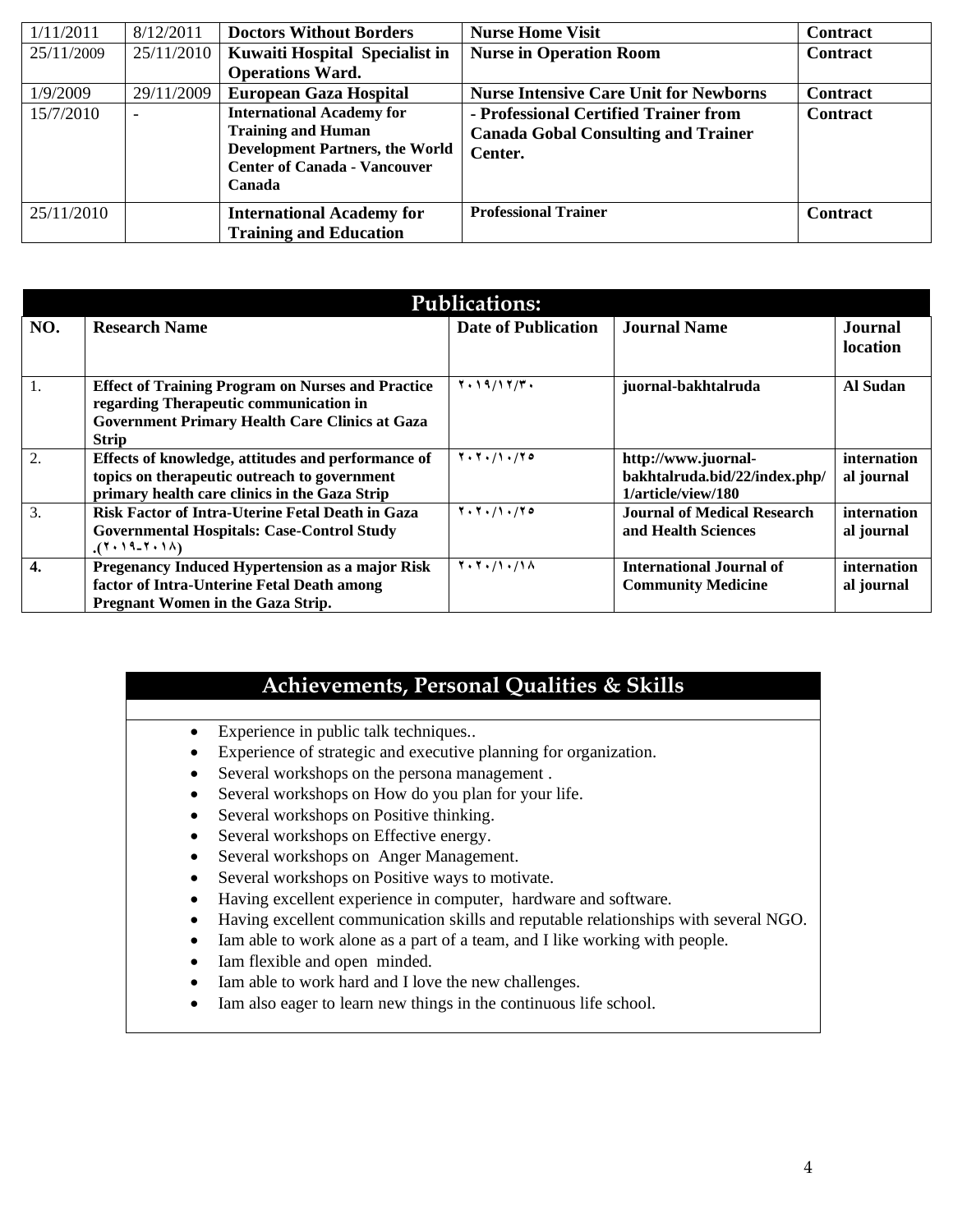| 1/11/2011  | 8/12/2011      | <b>Doctors Without Borders</b>                                                                                                                           | <b>Nurse Home Visit</b>                                                                        | Contract        |
|------------|----------------|----------------------------------------------------------------------------------------------------------------------------------------------------------|------------------------------------------------------------------------------------------------|-----------------|
| 25/11/2009 | 25/11/2010     | <b>Kuwaiti Hospital Specialist in</b>                                                                                                                    | <b>Nurse in Operation Room</b>                                                                 | <b>Contract</b> |
|            |                | <b>Operations Ward.</b>                                                                                                                                  |                                                                                                |                 |
| 1/9/2009   | 29/11/2009     | <b>European Gaza Hospital</b>                                                                                                                            | <b>Nurse Intensive Care Unit for Newborns</b>                                                  | <b>Contract</b> |
| 15/7/2010  | $\blacksquare$ | <b>International Academy for</b><br><b>Training and Human</b><br><b>Development Partners, the World</b><br><b>Center of Canada - Vancouver</b><br>Canada | - Professional Certified Trainer from<br><b>Canada Gobal Consulting and Trainer</b><br>Center. | <b>Contract</b> |
| 25/11/2010 |                | <b>International Academy for</b><br><b>Training and Education</b>                                                                                        | <b>Professional Trainer</b>                                                                    | <b>Contract</b> |

|                  | <b>Publications:</b>                                     |                                             |                               |             |  |  |
|------------------|----------------------------------------------------------|---------------------------------------------|-------------------------------|-------------|--|--|
| NO.              | <b>Research Name</b>                                     | <b>Date of Publication</b>                  | <b>Journal Name</b>           | Journal     |  |  |
|                  |                                                          |                                             |                               | location    |  |  |
|                  |                                                          |                                             |                               |             |  |  |
| 1.               | <b>Effect of Training Program on Nurses and Practice</b> | $Y \cdot 19/17/T$ .                         | juornal-bakhtalruda           | Al Sudan    |  |  |
|                  | regarding Therapeutic communication in                   |                                             |                               |             |  |  |
|                  | <b>Government Primary Health Care Clinics at Gaza</b>    |                                             |                               |             |  |  |
|                  | <b>Strip</b>                                             |                                             |                               |             |  |  |
| 2.               | Effects of knowledge, attitudes and performance of       | $Y \cdot Y \cdot / \lambda \cdot / Y \circ$ | http://www.juornal-           | internation |  |  |
|                  | topics on therapeutic outreach to government             |                                             | bakhtalruda.bid/22/index.php/ | al journal  |  |  |
|                  | primary health care clinics in the Gaza Strip            |                                             | 1/article/view/180            |             |  |  |
| $\overline{3}$ . | Risk Factor of Intra-Uterine Fetal Death in Gaza         | $Y \cdot Y \cdot / 1 \cdot / 70$            | Journal of Medical Research   | internation |  |  |
|                  | <b>Governmental Hospitals: Case-Control Study</b>        |                                             | and Health Sciences           | al journal  |  |  |
|                  | $(1.19 - 7.1)$                                           |                                             |                               |             |  |  |
| $\overline{4}$ . | Pregenancy Induced Hypertension as a major Risk          | 7.7.11.11A                                  | International Journal of      | internation |  |  |
|                  | factor of Intra-Unterine Fetal Death among               |                                             | <b>Community Medicine</b>     | al journal  |  |  |
|                  | <b>Pregnant Women in the Gaza Strip.</b>                 |                                             |                               |             |  |  |

### **Achievements, Personal Qualities & Skills**

- Experience in public talk techniques..
- Experience of strategic and executive planning for organization.
- Several workshops on the persona management .
- Several workshops on How do you plan for your life.
- Several workshops on Positive thinking.
- Several workshops on Effective energy.
- Several workshops on Anger Management.
- Several workshops on Positive ways to motivate.
- Having excellent experience in computer, hardware and software.
- Having excellent communication skills and reputable relationships with several NGO.
- Iam able to work alone as a part of a team, and I like working with people.
- Iam flexible and open minded.
- Iam able to work hard and I love the new challenges.
- Iam also eager to learn new things in the continuous life school.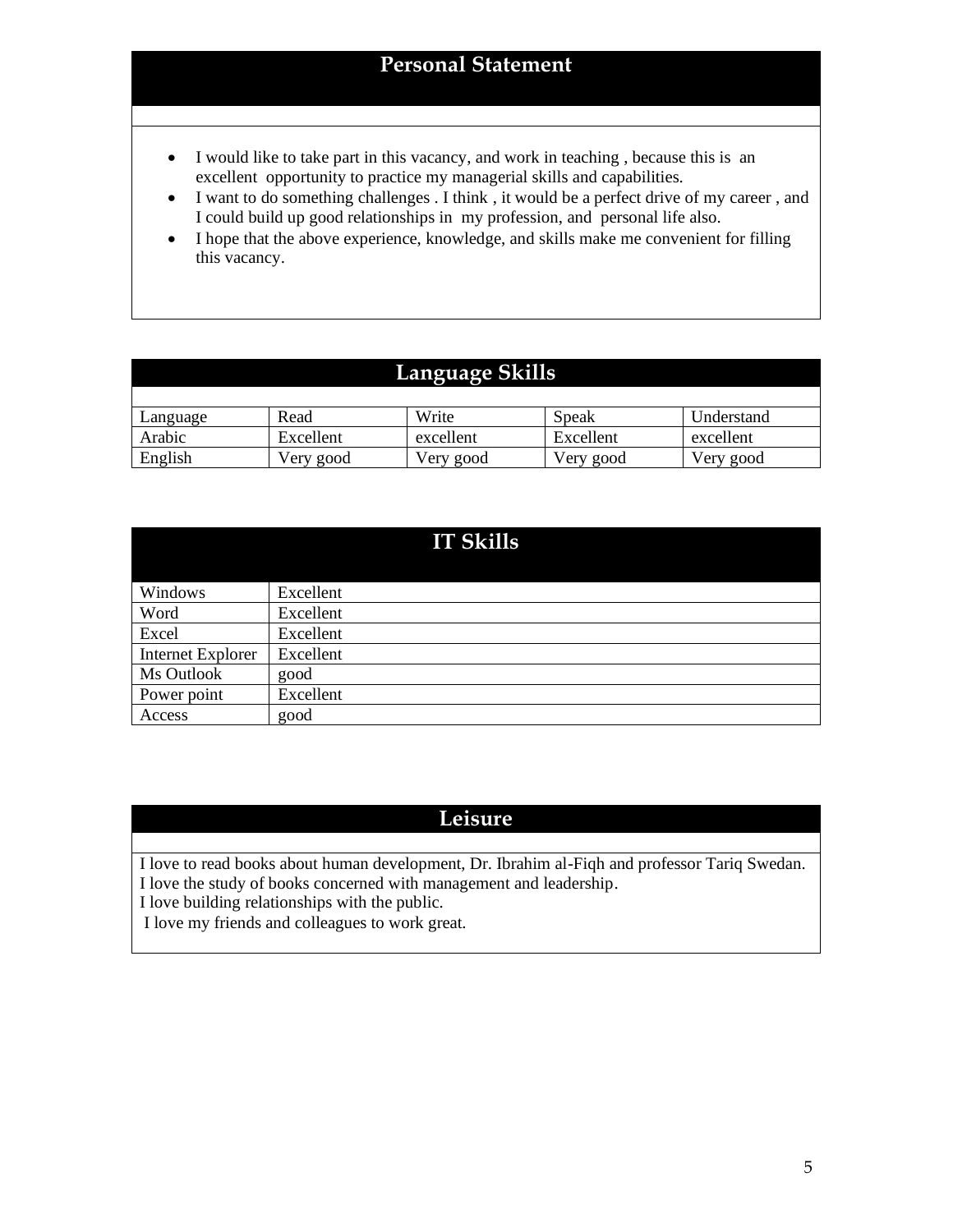#### **Personal Statement**

- I would like to take part in this vacancy, and work in teaching , because this is an excellent opportunity to practice my managerial skills and capabilities.
- I want to do something challenges . I think, it would be a perfect drive of my career, and I could build up good relationships in my profession, and personal life also.
- I hope that the above experience, knowledge, and skills make me convenient for filling this vacancy.

## **Language Skills**

| Language | Read      | Write     | Speak     | Understand |
|----------|-----------|-----------|-----------|------------|
| Arabic   | Excellent | excellent | Excellent | excellent  |
| English  | Very good | Very good | Very good | Very good  |

|                   | <b>IT Skills</b> |
|-------------------|------------------|
| Windows           | Excellent        |
| Word              | Excellent        |
| Excel             | Excellent        |
| Internet Explorer | Excellent        |
| Ms Outlook        | good             |
| Power point       | Excellent        |
| Access            | good             |

## **Leisure**

I love to read books about human development, Dr. Ibrahim al-Fiqh and professor Tariq Swedan. I love the study of books concerned with management and leadership.

I love building relationships with the public.

I love my friends and colleagues to work great.